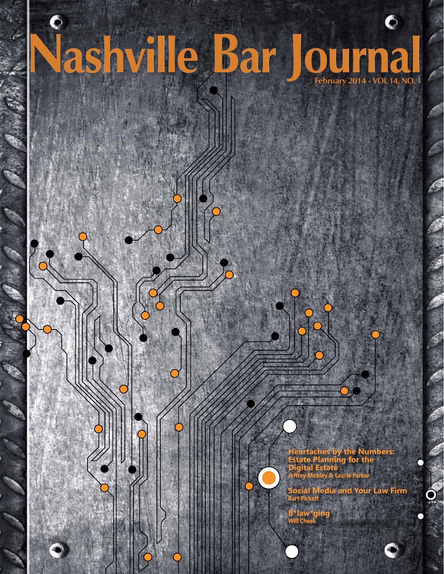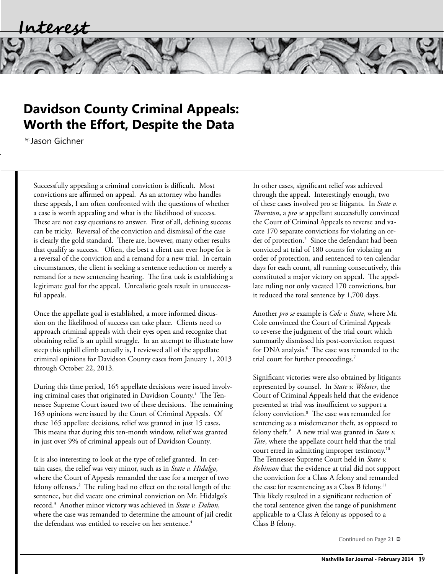## **Davidson County Criminal Appeals: Worth the Effort, Despite the Data**

by: Jason Gichner

Successfully appealing a criminal conviction is difficult. Most convictions are affirmed on appeal. As an attorney who handles these appeals, I am often confronted with the questions of whether a case is worth appealing and what is the likelihood of success. These are not easy questions to answer. First of all, defining success can be tricky. Reversal of the conviction and dismissal of the case is clearly the gold standard. There are, however, many other results that qualify as success. Often, the best a client can ever hope for is a reversal of the conviction and a remand for a new trial. In certain circumstances, the client is seeking a sentence reduction or merely a remand for a new sentencing hearing. The first task is establishing a legitimate goal for the appeal. Unrealistic goals result in unsuccessful appeals.

Once the appellate goal is established, a more informed discussion on the likelihood of success can take place. Clients need to approach criminal appeals with their eyes open and recognize that obtaining relief is an uphill struggle. In an attempt to illustrate how steep this uphill climb actually is, I reviewed all of the appellate criminal opinions for Davidson County cases from January 1, 2013 through October 22, 2013.

During this time period, 165 appellate decisions were issued involving criminal cases that originated in Davidson County.1 The Tennessee Supreme Court issued two of these decisions. The remaining 163 opinions were issued by the Court of Criminal Appeals. Of these 165 appellate decisions, relief was granted in just 15 cases. This means that during this ten-month window, relief was granted in just over 9% of criminal appeals out of Davidson County.

It is also interesting to look at the type of relief granted. In certain cases, the relief was very minor, such as in *State v. Hidalgo*, where the Court of Appeals remanded the case for a merger of two felony offenses.2 The ruling had no effect on the total length of the sentence, but did vacate one criminal conviction on Mr. Hidalgo's record.3 Another minor victory was achieved in *State v. Dalton*, where the case was remanded to determine the amount of jail credit the defendant was entitled to receive on her sentence. $4$ 

In other cases, significant relief was achieved through the appeal. Interestingly enough, two of these cases involved pro se litigants. In *State v. Thornton*, a *pro se* appellant successfully convinced the Court of Criminal Appeals to reverse and vacate 170 separate convictions for violating an order of protection.<sup>5</sup> Since the defendant had been convicted at trial of 180 counts for violating an order of protection, and sentenced to ten calendar days for each count, all running consecutively, this constituted a major victory on appeal. The appellate ruling not only vacated 170 convictions, but it reduced the total sentence by 1,700 days.

Another *pro se* example is *Cole v. State*, where Mr. Cole convinced the Court of Criminal Appeals to reverse the judgment of the trial court which summarily dismissed his post-conviction request for DNA analysis.6 The case was remanded to the trial court for further proceedings.<sup>7</sup>

Significant victories were also obtained by litigants represented by counsel. In *State v. Webster*, the Court of Criminal Appeals held that the evidence presented at trial was insufficient to support a felony conviction.8 The case was remanded for sentencing as a misdemeanor theft, as opposed to felony theft.<sup>9</sup> A new trial was granted in *State v*. *Tate*, where the appellate court held that the trial court erred in admitting improper testimony.10 The Tennessee Supreme Court held in *State v. Robinson* that the evidence at trial did not support the conviction for a Class A felony and remanded the case for resentencing as a Class B felony.<sup>11</sup> This likely resulted in a significant reduction of the total sentence given the range of punishment applicable to a Class A felony as opposed to a Class B felony.

Continued on Page 21  $\supset$